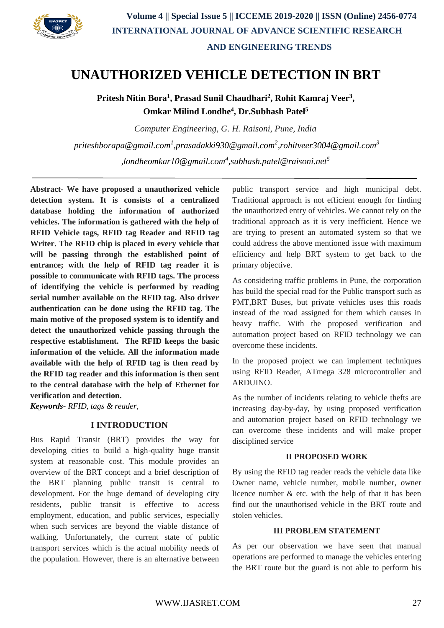

# **UNAUTHORIZED VEHICLE DETECTION IN BRT**

**Pritesh Nitin Bora<sup>1</sup> , Prasad Sunil Chaudhari<sup>2</sup> , Rohit Kamraj Veer<sup>3</sup> , Omkar Milind Londhe<sup>4</sup> , Dr.Subhash Patel<sup>5</sup>**

*Computer Engineering, G. H. Raisoni, Pune, India priteshborapa@gmail.com<sup>1</sup> [,prasadakki930@gmail.com](mailto:priteshborapa@gmail.com1,prasadakki930@gmail.com2,rohitveer3004@gmail.com3,londheomkar10@gmail.com4,subhash.patel@raisoni.net)<sup>2</sup> ,rohitveer3004@gmail.com<sup>3</sup> [,londheomkar10@gmail.com](mailto:priteshborapa@gmail.com1,prasadakki930@gmail.com2,rohitveer3004@gmail.com3,londheomkar10@gmail.com4,subhash.patel@raisoni.net)<sup>4</sup> ,subhash.patel@raisoni.net<sup>5</sup>*

**Abstract- We have proposed a unauthorized vehicle detection system. It is consists of a centralized database holding the information of authorized vehicles. The information is gathered with the help of RFID Vehicle tags, RFID tag Reader and RFID tag Writer. The RFID chip is placed in every vehicle that will be passing through the established point of entrance; with the help of RFID tag reader it is possible to communicate with RFID tags. The process of identifying the vehicle is performed by reading serial number available on the RFID tag. Also driver authentication can be done using the RFID tag. The main motive of the proposed system is to identify and detect the unauthorized vehicle passing through the respective establishment. The RFID keeps the basic information of the vehicle. All the information made available with the help of RFID tag is then read by the RFID tag reader and this information is then sent to the central database with the help of Ethernet for verification and detection.**

*Keywords- RFID, tags & reader,*

## **I INTRODUCTION**

Bus Rapid Transit (BRT) provides the way for developing cities to build a high-quality huge transit system at reasonable cost. This module provides an overview of the BRT concept and a brief description of the BRT planning public transit is central to development. For the huge demand of developing city residents, public transit is effective to access employment, education, and public services, especially when such services are beyond the viable distance of walking. Unfortunately, the current state of public transport services which is the actual mobility needs of the population. However, there is an alternative between public transport service and high municipal debt. Traditional approach is not efficient enough for finding the unauthorized entry of vehicles. We cannot rely on the traditional approach as it is very inefficient. Hence we are trying to present an automated system so that we could address the above mentioned issue with maximum efficiency and help BRT system to get back to the primary objective.

As considering traffic problems in Pune, the corporation has build the special road for the Public transport such as PMT,BRT Buses, but private vehicles uses this roads instead of the road assigned for them which causes in heavy traffic. With the proposed verification and automation project based on RFID technology we can overcome these incidents.

In the proposed project we can implement techniques using RFID Reader, ATmega 328 microcontroller and ARDUINO.

As the number of incidents relating to vehicle thefts are increasing day-by-day, by using proposed verification and automation project based on RFID technology we can overcome these incidents and will make proper disciplined service

## **II PROPOSED WORK**

By using the RFID tag reader reads the vehicle data like Owner name, vehicle number, mobile number, owner licence number & etc. with the help of that it has been find out the unauthorised vehicle in the BRT route and stolen vehicles.

## **III PROBLEM STATEMENT**

As per our observation we have seen that manual operations are performed to manage the vehicles entering the BRT route but the guard is not able to perform his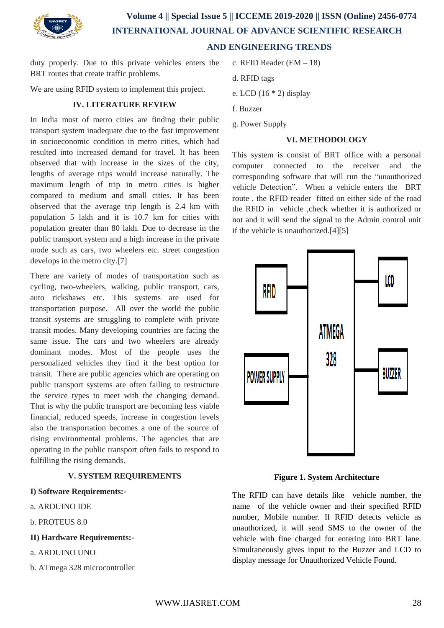

## **Volume 4 || Special Issue 5 || ICCEME 2019-2020 || ISSN (Online) 2456-0774 INTERNATIONAL JOURNAL OF ADVANCE SCIENTIFIC RESEARCH AND ENGINEERING TRENDS**

duty properly. Due to this private vehicles enters the BRT routes that create traffic problems.

We are using RFID system to implement this project.

## **IV. LITERATURE REVIEW**

In India most of metro cities are finding their public transport system inadequate due to the fast improvement in socioeconomic condition in metro cities, which had resulted into increased demand for travel. It has been observed that with increase in the sizes of the city, lengths of average trips would increase naturally. The maximum length of trip in metro cities is higher compared to medium and small cities. It has been observed that the average trip length is 2.4 km with population 5 lakh and it is 10.7 km for cities with population greater than 80 lakh. Due to decrease in the public transport system and a high increase in the private mode such as cars, two wheelers etc. street congestion develops in the metro city.[7]

There are variety of modes of transportation such as cycling, two-wheelers, walking, public transport, cars, auto rickshaws etc. This systems are used for transportation purpose. All over the world the public transit systems are struggling to complete with private transit modes. Many developing countries are facing the same issue. The cars and two wheelers are already dominant modes. Most of the people uses the personalized vehicles they find it the best option for transit. There are public agencies which are operating on public transport systems are often failing to restructure the service types to meet with the changing demand. That is why the public transport are becoming less viable financial, reduced speeds, increase in congestion levels also the transportation becomes a one of the source of rising environmental problems. The agencies that are operating in the public transport often fails to respond to fulfilling the rising demands.

## **V. SYSTEM REQUIREMENTS**

## **I) Software Requirements:-**

- a. ARDUINO IDE
- b. PROTEUS 8.0
- **II) Hardware Requirements:-**
- a. ARDUINO UNO
- b. ATmega 328 microcontroller
- c. RFID Reader (EM 18)
- d. RFID tags
- e. LCD (16 \* 2) display
- f. Buzzer
- g. Power Supply

#### **VI. METHODOLOGY**

This system is consist of BRT office with a personal computer connected to the receiver and the corresponding software that will run the "unauthorized vehicle Detection". When a vehicle enters the BRT route , the RFID reader fitted on either side of the road the RFID in vehicle ,check whether it is authorized or not and it will send the signal to the Admin control unit if the vehicle is unauthorized.[4][5]



**Figure 1. System Architecture**

The RFID can have details like vehicle number, the name of the vehicle owner and their specified RFID number, Mobile number. If RFID detects vehicle as unauthorized, it will send SMS to the owner of the vehicle with fine charged for entering into BRT lane. Simultaneously gives input to the Buzzer and LCD to display message for Unauthorized Vehicle Found.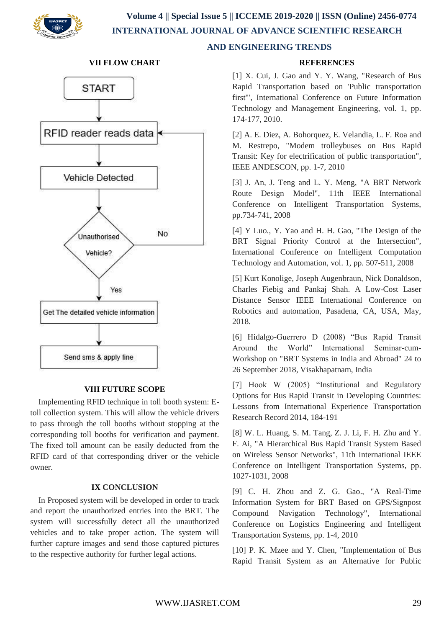

 **Volume 4 || Special Issue 5 || ICCEME 2019-2020 || ISSN (Online) 2456-0774 INTERNATIONAL JOURNAL OF ADVANCE SCIENTIFIC RESEARCH** 



#### **VII FLOW CHART**

#### **VIII FUTURE SCOPE**

 Implementing RFID technique in toll booth system: Etoll collection system. This will allow the vehicle drivers to pass through the toll booths without stopping at the corresponding toll booths for verification and payment. The fixed toll amount can be easily deducted from the RFID card of that corresponding driver or the vehicle owner.

## **IX CONCLUSION**

 In Proposed system will be developed in order to track and report the unauthorized entries into the BRT. The system will successfully detect all the unauthorized vehicles and to take proper action. The system will further capture images and send those captured pictures to the respective authority for further legal actions.

## **AND ENGINEERING TRENDS**

#### **REFERENCES**

[1] X. Cui, J. Gao and Y. Y. Wang, "Research of Bus Rapid Transportation based on 'Public transportation first'", International Conference on Future Information Technology and Management Engineering, vol. 1, pp. 174-177, 2010.

[2] A. E. Diez, A. Bohorquez, E. Velandia, L. F. Roa and M. Restrepo, "Modem trolleybuses on Bus Rapid Transit: Key for electrification of public transportation", IEEE ANDESCON, pp. 1-7, 2010

[3] J. An, J. Teng and L. Y. Meng, "A BRT Network Route Design Model", 11th IEEE International Conference on Intelligent Transportation Systems, pp.734-741, 2008

[4] Y Luo., Y. Yao and H. H. Gao, "The Design of the BRT Signal Priority Control at the Intersection". International Conference on Intelligent Computation Technology and Automation, vol. 1, pp. 507-511, 2008

[5] Kurt Konolige, Joseph Augenbraun, Nick Donaldson, Charles Fiebig and Pankaj Shah. A Low-Cost Laser Distance Sensor IEEE International Conference on Robotics and automation, Pasadena, CA, USA, May, 2018.

[6] Hidalgo-Guerrero D (2008) "Bus Rapid Transit Around the World" International Seminar-cum-Workshop on "BRT Systems in India and Abroad" 24 to 26 September 2018, Visakhapatnam, India

[7] Hook W (2005) "Institutional and Regulatory Options for Bus Rapid Transit in Developing Countries: Lessons from International Experience Transportation Research Record 2014, 184-191

[8] W. L. Huang, S. M. Tang, Z. J. Li, F. H. Zhu and Y. F. Ai, "A Hierarchical Bus Rapid Transit System Based on Wireless Sensor Networks", 11th International IEEE Conference on Intelligent Transportation Systems, pp. 1027-1031, 2008

[9] C. H. Zhou and Z. G. Gao., "A Real-Time Information System for BRT Based on GPS/Signpost Compound Navigation Technology", International Conference on Logistics Engineering and Intelligent Transportation Systems, pp. 1-4, 2010

[10] P. K. Mzee and Y. Chen, "Implementation of Bus Rapid Transit System as an Alternative for Public